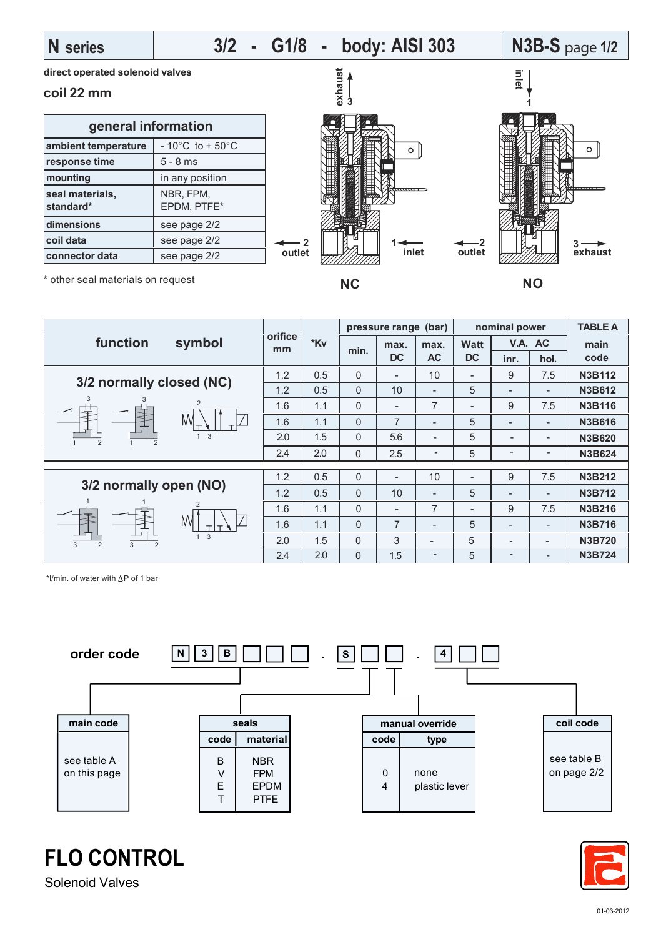## **N series**

# **3/2 - G1/8 - body: AISI 303 N3B-S** page **1/2**

**direct operated solenoid valves**

### **coil 22 mm**

| general information          |                                      |  |  |  |
|------------------------------|--------------------------------------|--|--|--|
| ambient temperature          | $-10^{\circ}$ C to + 50 $^{\circ}$ C |  |  |  |
| response time                | $5 - 8$ ms                           |  |  |  |
| mounting                     | in any position                      |  |  |  |
| seal materials,<br>standard* | NBR, FPM,<br>EPDM, PTFE*             |  |  |  |
| dimensions                   | see page 2/2                         |  |  |  |
| coil data                    | see page 2/2                         |  |  |  |
| connector data               | see page 2/2                         |  |  |  |



\* other seal materials on request

| function<br>symbol                              | orifice<br>mm | *Kv | pressure range (bar) |                          |                          | nominal power            |                          |                          | <b>TABLE A</b> |
|-------------------------------------------------|---------------|-----|----------------------|--------------------------|--------------------------|--------------------------|--------------------------|--------------------------|----------------|
|                                                 |               |     | min.                 | max.                     | max.                     | <b>Watt</b>              | V.A. AC                  |                          | main           |
|                                                 |               |     |                      | <b>DC</b>                | <b>AC</b>                | <b>DC</b>                | inr.                     | hol.                     | code           |
| 3/2 normally closed (NC)                        | 1.2           | 0.5 | $\Omega$             | $\overline{\phantom{a}}$ | 10                       | Ξ.                       | 9                        | 7.5                      | <b>N3B112</b>  |
|                                                 | 1.2           | 0.5 | $\Omega$             | 10                       | $\overline{\phantom{0}}$ | 5                        | $\overline{\phantom{a}}$ | $\overline{\phantom{a}}$ | <b>N3B612</b>  |
| 3<br>3<br>2                                     | 1.6           | 1.1 | $\Omega$             | $\overline{\phantom{a}}$ | $\overline{7}$           | $\overline{\phantom{0}}$ | 9                        | 7.5                      | <b>N3B116</b>  |
| M                                               | 1.6           | 1.1 | $\Omega$             | $\overline{7}$           | $\overline{\phantom{a}}$ | 5                        |                          | $\overline{\phantom{a}}$ | <b>N3B616</b>  |
| 3<br>$\overline{2}$<br>$\overline{2}$           | 2.0           | 1.5 | $\Omega$             | 5.6                      | $\overline{\phantom{0}}$ | 5                        | $\overline{\phantom{0}}$ | $\overline{\phantom{a}}$ | <b>N3B620</b>  |
|                                                 | 2.4           | 2.0 | $\Omega$             | 2.5                      | $\overline{\phantom{a}}$ | 5                        | -                        | $\overline{\phantom{a}}$ | <b>N3B624</b>  |
|                                                 |               |     |                      |                          |                          |                          |                          |                          |                |
|                                                 | 1.2           | 0.5 | $\Omega$             |                          | 10                       | $\overline{\phantom{0}}$ | 9                        | 7.5                      | <b>N3B212</b>  |
| 3/2 normally open (NO)                          | 1.2           | 0.5 | $\Omega$             | 10                       | ۰                        | 5                        | ۰                        | $\overline{\phantom{a}}$ | <b>N3B712</b>  |
| 2                                               | 1.6           | 1.1 | $\Omega$             | $\overline{\phantom{a}}$ | $\overline{7}$           | Ξ.                       | 9                        | 7.5                      | <b>N3B216</b>  |
| M                                               | 1.6           | 1.1 | $\Omega$             | $\overline{7}$           | $\overline{\phantom{0}}$ | 5                        | $\overline{\phantom{a}}$ | $\overline{\phantom{a}}$ | <b>N3B716</b>  |
| 3<br>3<br>3<br>$\overline{2}$<br>$\overline{2}$ | 2.0           | 1.5 | $\Omega$             | 3                        |                          | 5                        | -                        | $\overline{\phantom{a}}$ | <b>N3B720</b>  |
|                                                 | 2.4           | 2.0 | $\Omega$             | 1.5                      | -                        | 5                        | -                        | $\overline{\phantom{a}}$ | <b>N3B724</b>  |

\*l/min. of water with  $\Delta P$  of 1 bar





**FLO CONTROL**

Solenoid Valves